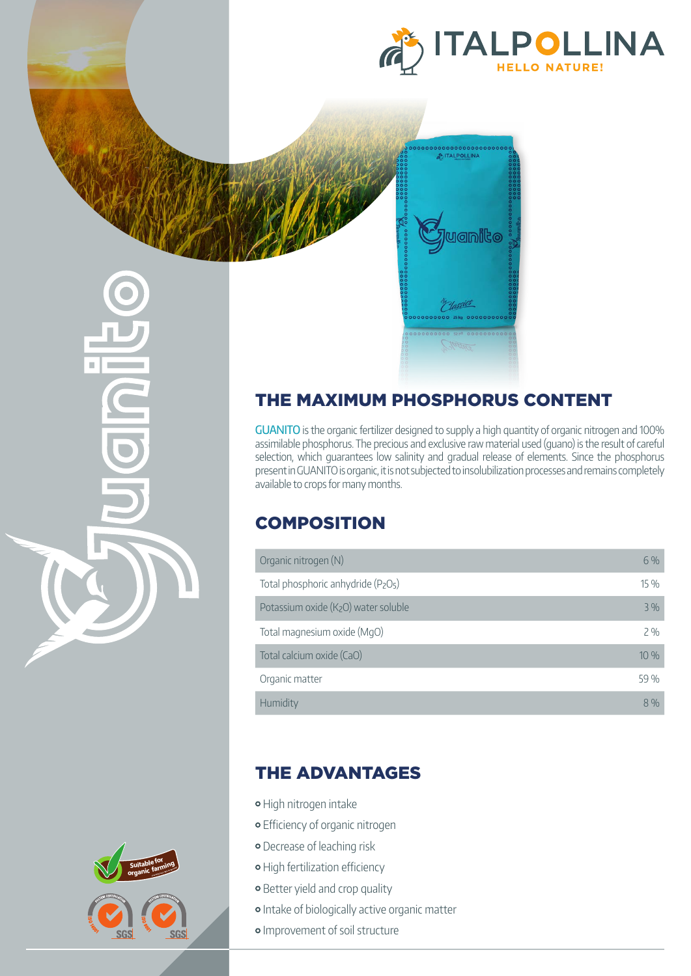

## THE MAXIMUM PHOSPHORUS CONTENT

GUANITO is the organic fertilizer designed to supply a high quantity of organic nitrogen and 100% assimilable phosphorus. The precious and exclusive raw material used (guano) is the result of careful selection, which guarantees low salinity and gradual release of elements. Since the phosphorus present in GUANITO is organic, it is not subjected to insolubilization processes and remains completely available to crops for many months.

Plassics

## **COMPOSITION**

| Organic nitrogen (N)                | 6%   |
|-------------------------------------|------|
| Total phosphoric anhydride (P2O5)   | 15 % |
| Potassium oxide (K2O) water soluble | 3%   |
| Total magnesium oxide (MgO)         | 2%   |
| Total calcium oxide (CaO)           | 10%  |
| Organic matter                      | 59 % |
| Humidity                            | 8%   |

#### THE ADVANTAGES

- High nitrogen intake
- Efficiency of organic nitrogen
- **o** Decrease of leaching risk
- o High fertilization efficiency
- **•** Better yield and crop quality
- o Intake of biologically active organic matter
- **·** Improvement of soil structure